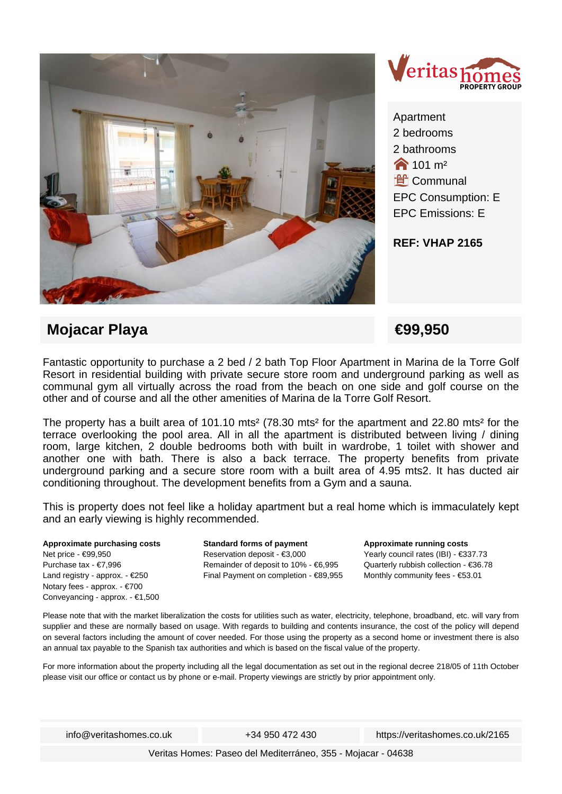



Apartment 2 bedrooms 2 bathrooms  $\bigotimes$  101 m<sup>2</sup> **L**<br>Communal EPC Consumption: E EPC Emissions: E

**REF: VHAP 2165**

## **Mojacar Playa €99,950**

Fantastic opportunity to purchase a 2 bed / 2 bath Top Floor Apartment in Marina de la Torre Golf Resort in residential building with private secure store room and underground parking as well as communal gym all virtually across the road from the beach on one side and golf course on the other and of course and all the other amenities of Marina de la Torre Golf Resort.

The property has a built area of 101.10 mts<sup>2</sup> (78.30 mts<sup>2</sup> for the apartment and 22.80 mts<sup>2</sup> for the terrace overlooking the pool area. All in all the apartment is distributed between living / dining room, large kitchen, 2 double bedrooms both with built in wardrobe, 1 toilet with shower and another one with bath. There is also a back terrace. The property benefits from private underground parking and a secure store room with a built area of 4.95 mts2. It has ducted air conditioning throughout. The development benefits from a Gym and a sauna.

This is property does not feel like a holiday apartment but a real home which is immaculately kept and an early viewing is highly recommended.

**Approximate purchasing costs** Net price - €99,950 Purchase tax - €7,996 Land registry - approx. - €250 Notary fees - approx. - €700 Conveyancing - approx. - €1,500 **Standard forms of payment** Reservation deposit - €3,000 Remainder of deposit to 10% - €6,995 Final Payment on completion - €89,955 **Approximate running costs** Yearly council rates (IBI) - €337.73 Quarterly rubbish collection - €36.78 Monthly community fees - €53.01

Please note that with the market liberalization the costs for utilities such as water, electricity, telephone, broadband, etc. will vary from supplier and these are normally based on usage. With regards to building and contents insurance, the cost of the policy will depend on several factors including the amount of cover needed. For those using the property as a second home or investment there is also an annual tax payable to the Spanish tax authorities and which is based on the fiscal value of the property.

For more information about the property including all the legal documentation as set out in the regional decree 218/05 of 11th October please visit our office or contact us by phone or e-mail. Property viewings are strictly by prior appointment only.

info@veritashomes.co.uk +34 950 472 430 https://veritashomes.co.uk/2165

Veritas Homes: Paseo del Mediterráneo, 355 - Mojacar - 04638